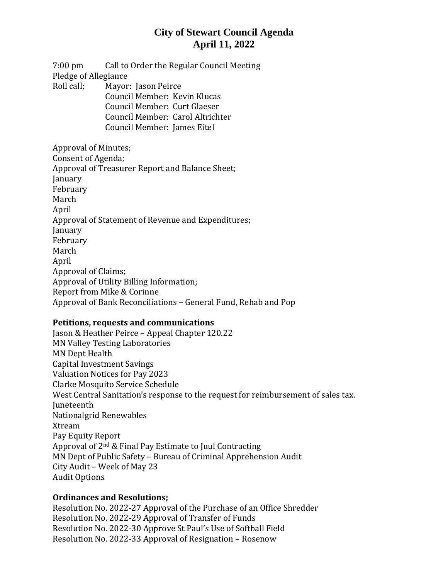# **City of Stewart Council Agenda April 11, 2022**

7:00 pm Call to Order the Regular Council Meeting Pledge of Allegiance Roll call; Mayor: Jason Peirce Council Member: Kevin Klucas Council Member: Curt Glaeser Council Member: Carol Altrichter Council Member: James Eitel Approval of Minutes;

Consent of Agenda; Approval of Treasurer Report and Balance Sheet; January February March April Approval of Statement of Revenue and Expenditures; January February March April Approval of Claims; Approval of Utility Billing Information; Report from Mike & Corinne Approval of Bank Reconciliations – General Fund, Rehab and Pop

### **Petitions, requests and communications**

Jason & Heather Peirce – Appeal Chapter 120.22 MN Valley Testing Laboratories MN Dept Health Capital Investment Savings Valuation Notices for Pay 2023 Clarke Mosquito Service Schedule West Central Sanitation's response to the request for reimbursement of sales tax. Juneteenth Nationalgrid Renewables Xtream Pay Equity Report Approval of 2nd & Final Pay Estimate to Juul Contracting MN Dept of Public Safety – Bureau of Criminal Apprehension Audit City Audit – Week of May 23 Audit Options

### **Ordinances and Resolutions;**

Resolution No. 2022-27 Approval of the Purchase of an Office Shredder Resolution No. 2022-29 Approval of Transfer of Funds Resolution No. 2022-30 Approve St Paul's Use of Softball Field Resolution No. 2022-33 Approval of Resignation – Rosenow